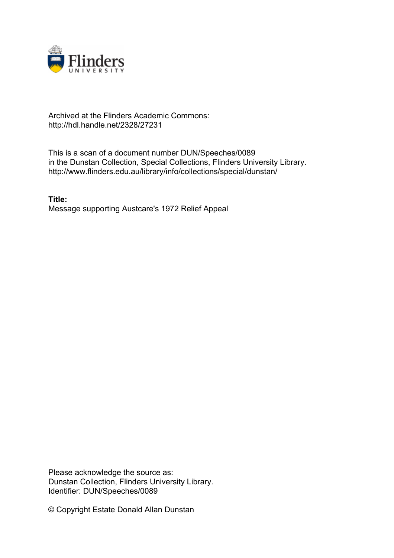

## Archived at the Flinders Academic Commons: http://hdl.handle.net/2328/27231

This is a scan of a document number DUN/Speeches/0089 in the Dunstan Collection, Special Collections, Flinders University Library. http://www.flinders.edu.au/library/info/collections/special/dunstan/

**Title:** Message supporting Austcare's 1972 Relief Appeal

Please acknowledge the source as: Dunstan Collection, Flinders University Library. Identifier: DUN/Speeches/0089

© Copyright Estate Donald Allan Dunstan